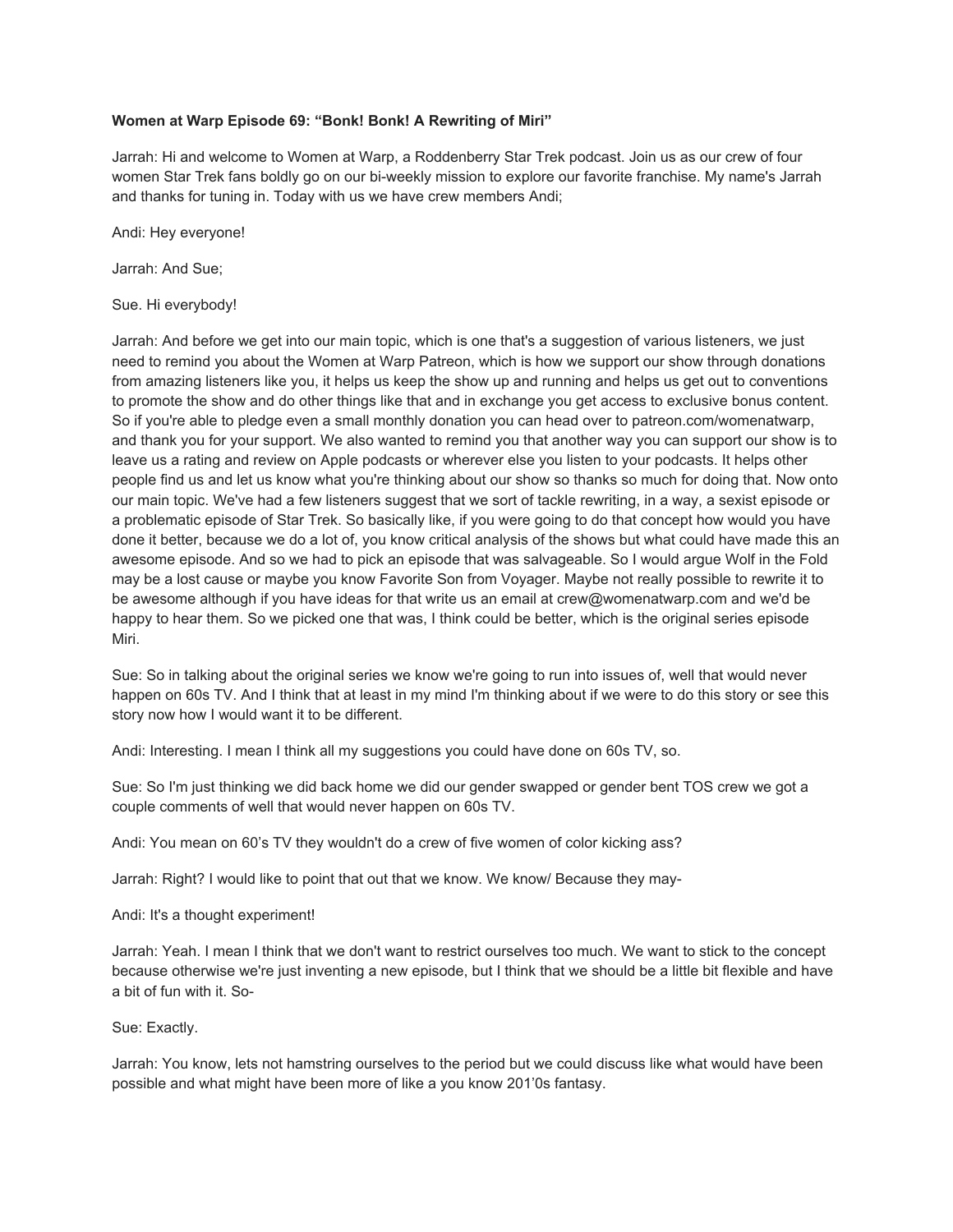# **Women at Warp Episode 69: "Bonk! Bonk! A Rewriting of Miri"**

Jarrah: Hi and welcome to Women at Warp, a Roddenberry Star Trek podcast. Join us as our crew of four women Star Trek fans boldly go on our bi-weekly mission to explore our favorite franchise. My name's Jarrah and thanks for tuning in. Today with us we have crew members Andi;

Andi: Hey everyone!

Jarrah: And Sue;

Sue. Hi everybody!

Jarrah: And before we get into our main topic, which is one that's a suggestion of various listeners, we just need to remind you about the Women at Warp Patreon, which is how we support our show through donations from amazing listeners like you, it helps us keep the show up and running and helps us get out to conventions to promote the show and do other things like that and in exchange you get access to exclusive bonus content. So if you're able to pledge even a small monthly donation you can head over to patreon.com/womenatwarp, and thank you for your support. We also wanted to remind you that another way you can support our show is to leave us a rating and review on Apple podcasts or wherever else you listen to your podcasts. It helps other people find us and let us know what you're thinking about our show so thanks so much for doing that. Now onto our main topic. We've had a few listeners suggest that we sort of tackle rewriting, in a way, a sexist episode or a problematic episode of Star Trek. So basically like, if you were going to do that concept how would you have done it better, because we do a lot of, you know critical analysis of the shows but what could have made this an awesome episode. And so we had to pick an episode that was salvageable. So I would argue Wolf in the Fold may be a lost cause or maybe you know Favorite Son from Voyager. Maybe not really possible to rewrite it to be awesome although if you have ideas for that write us an email at crew@womenatwarp.com and we'd be happy to hear them. So we picked one that was, I think could be better, which is the original series episode Miri.

Sue: So in talking about the original series we know we're going to run into issues of, well that would never happen on 60s TV. And I think that at least in my mind I'm thinking about if we were to do this story or see this story now how I would want it to be different.

Andi: Interesting. I mean I think all my suggestions you could have done on 60s TV, so.

Sue: So I'm just thinking we did back home we did our gender swapped or gender bent TOS crew we got a couple comments of well that would never happen on 60s TV.

Andi: You mean on 60's TV they wouldn't do a crew of five women of color kicking ass?

Jarrah: Right? I would like to point that out that we know. We know/ Because they may-

Andi: It's a thought experiment!

Jarrah: Yeah. I mean I think that we don't want to restrict ourselves too much. We want to stick to the concept because otherwise we're just inventing a new episode, but I think that we should be a little bit flexible and have a bit of fun with it. So-

### Sue: Exactly.

Jarrah: You know, lets not hamstring ourselves to the period but we could discuss like what would have been possible and what might have been more of like a you know 201'0s fantasy.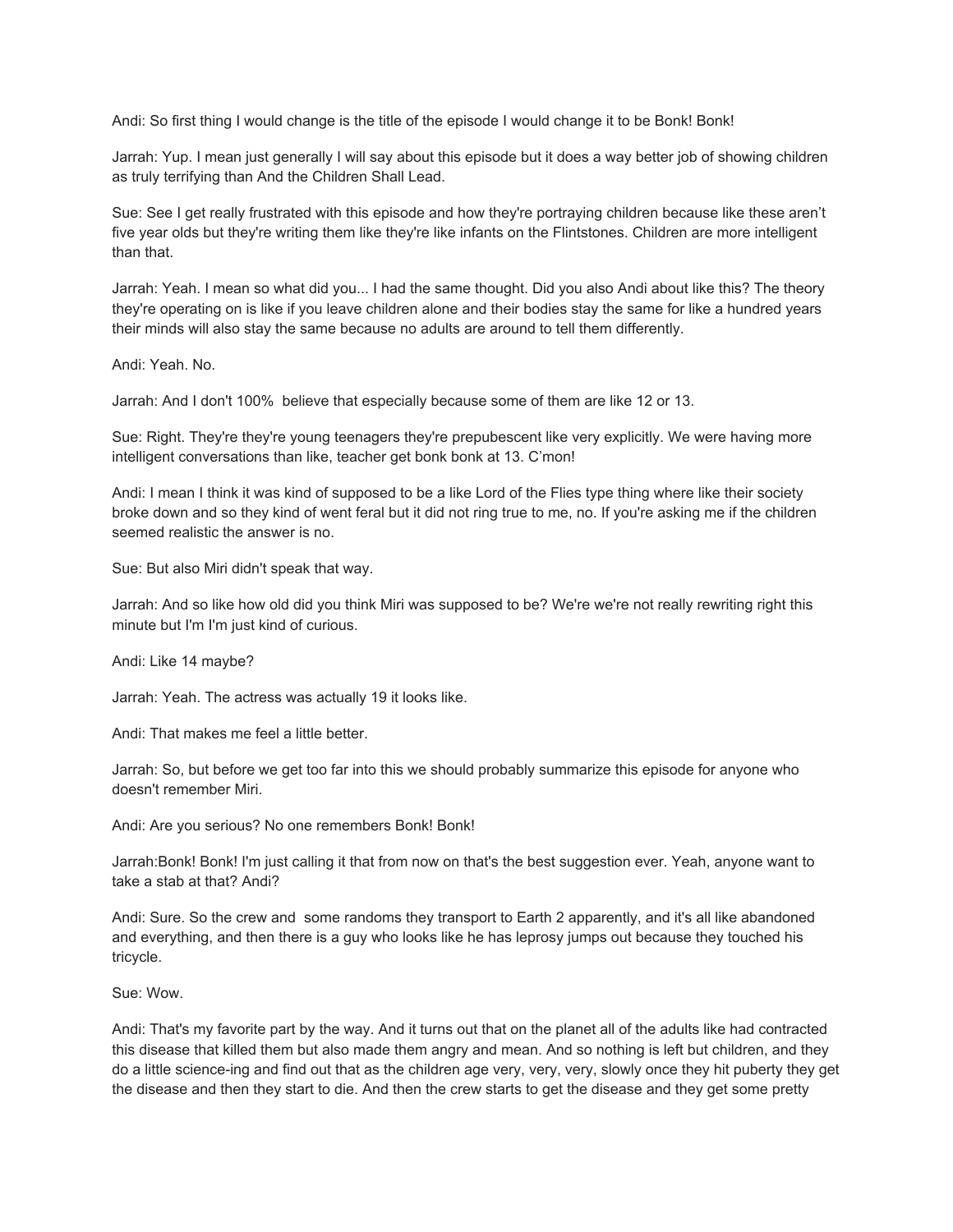Andi: So first thing I would change is the title of the episode I would change it to be Bonk! Bonk!

Jarrah: Yup. I mean just generally I will say about this episode but it does a way better job of showing children as truly terrifying than And the Children Shall Lead.

Sue: See I get really frustrated with this episode and how they're portraying children because like these aren't five year olds but they're writing them like they're like infants on the Flintstones. Children are more intelligent than that.

Jarrah: Yeah. I mean so what did you... I had the same thought. Did you also Andi about like this? The theory they're operating on is like if you leave children alone and their bodies stay the same for like a hundred years their minds will also stay the same because no adults are around to tell them differently.

Andi: Yeah. No.

Jarrah: And I don't 100% believe that especially because some of them are like 12 or 13.

Sue: Right. They're they're young teenagers they're prepubescent like very explicitly. We were having more intelligent conversations than like, teacher get bonk bonk at 13. C'mon!

Andi: I mean I think it was kind of supposed to be a like Lord of the Flies type thing where like their society broke down and so they kind of went feral but it did not ring true to me, no. If you're asking me if the children seemed realistic the answer is no.

Sue: But also Miri didn't speak that way.

Jarrah: And so like how old did you think Miri was supposed to be? We're we're not really rewriting right this minute but I'm I'm just kind of curious.

Andi: Like 14 maybe?

Jarrah: Yeah. The actress was actually 19 it looks like.

Andi: That makes me feel a little better.

Jarrah: So, but before we get too far into this we should probably summarize this episode for anyone who doesn't remember Miri.

Andi: Are you serious? No one remembers Bonk! Bonk!

Jarrah:Bonk! Bonk! I'm just calling it that from now on that's the best suggestion ever. Yeah, anyone want to take a stab at that? Andi?

Andi: Sure. So the crew and some randoms they transport to Earth 2 apparently, and it's all like abandoned and everything, and then there is a guy who looks like he has leprosy jumps out because they touched his tricycle.

Sue: Wow.

Andi: That's my favorite part by the way. And it turns out that on the planet all of the adults like had contracted this disease that killed them but also made them angry and mean. And so nothing is left but children, and they do a little science-ing and find out that as the children age very, very, very, slowly once they hit puberty they get the disease and then they start to die. And then the crew starts to get the disease and they get some pretty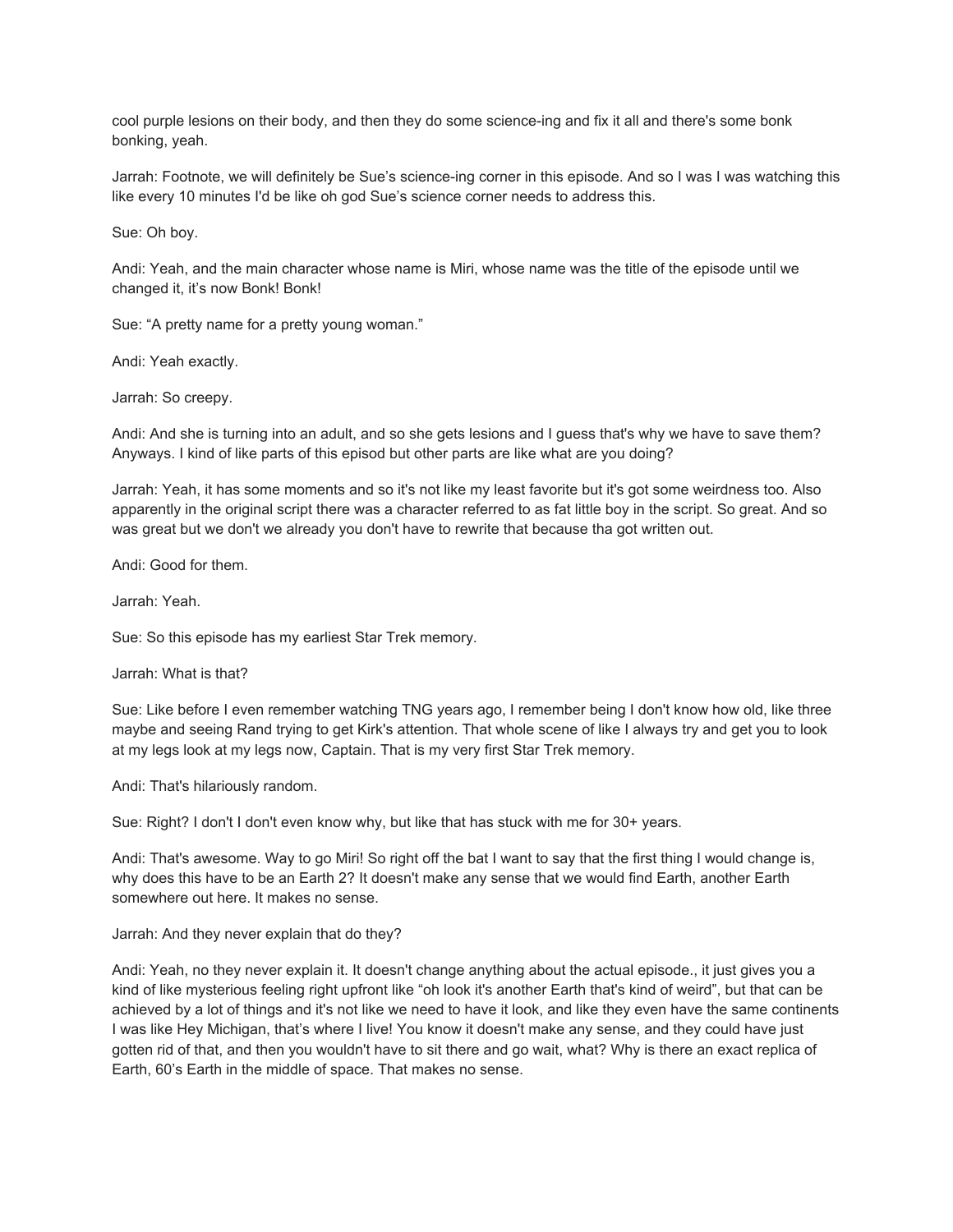cool purple lesions on their body, and then they do some science-ing and fix it all and there's some bonk bonking, yeah.

Jarrah: Footnote, we will definitely be Sue's science-ing corner in this episode. And so I was I was watching this like every 10 minutes I'd be like oh god Sue's science corner needs to address this.

Sue: Oh boy.

Andi: Yeah, and the main character whose name is Miri, whose name was the title of the episode until we changed it, it's now Bonk! Bonk!

Sue: "A pretty name for a pretty young woman."

Andi: Yeah exactly.

Jarrah: So creepy.

Andi: And she is turning into an adult, and so she gets lesions and I guess that's why we have to save them? Anyways. I kind of like parts of this episod but other parts are like what are you doing?

Jarrah: Yeah, it has some moments and so it's not like my least favorite but it's got some weirdness too. Also apparently in the original script there was a character referred to as fat little boy in the script. So great. And so was great but we don't we already you don't have to rewrite that because tha got written out.

Andi: Good for them.

Jarrah: Yeah.

Sue: So this episode has my earliest Star Trek memory.

Jarrah: What is that?

Sue: Like before I even remember watching TNG years ago, I remember being I don't know how old, like three maybe and seeing Rand trying to get Kirk's attention. That whole scene of like I always try and get you to look at my legs look at my legs now, Captain. That is my very first Star Trek memory.

Andi: That's hilariously random.

Sue: Right? I don't I don't even know why, but like that has stuck with me for 30+ years.

Andi: That's awesome. Way to go Miri! So right off the bat I want to say that the first thing I would change is, why does this have to be an Earth 2? It doesn't make any sense that we would find Earth, another Earth somewhere out here. It makes no sense.

Jarrah: And they never explain that do they?

Andi: Yeah, no they never explain it. It doesn't change anything about the actual episode., it just gives you a kind of like mysterious feeling right upfront like "oh look it's another Earth that's kind of weird", but that can be achieved by a lot of things and it's not like we need to have it look, and like they even have the same continents I was like Hey Michigan, that's where I live! You know it doesn't make any sense, and they could have just gotten rid of that, and then you wouldn't have to sit there and go wait, what? Why is there an exact replica of Earth, 60's Earth in the middle of space. That makes no sense.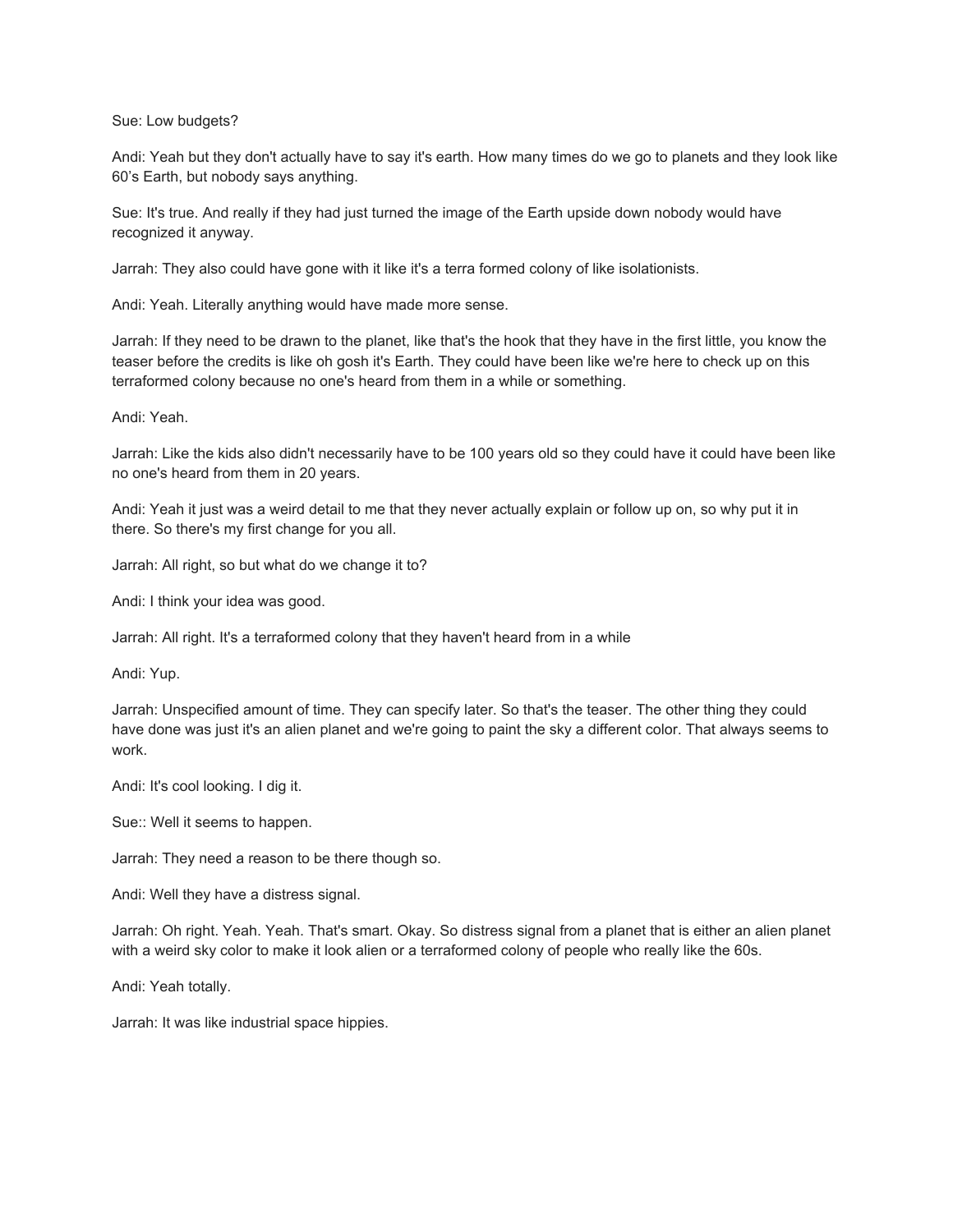Sue: Low budgets?

Andi: Yeah but they don't actually have to say it's earth. How many times do we go to planets and they look like 60's Earth, but nobody says anything.

Sue: It's true. And really if they had just turned the image of the Earth upside down nobody would have recognized it anyway.

Jarrah: They also could have gone with it like it's a terra formed colony of like isolationists.

Andi: Yeah. Literally anything would have made more sense.

Jarrah: If they need to be drawn to the planet, like that's the hook that they have in the first little, you know the teaser before the credits is like oh gosh it's Earth. They could have been like we're here to check up on this terraformed colony because no one's heard from them in a while or something.

Andi: Yeah.

Jarrah: Like the kids also didn't necessarily have to be 100 years old so they could have it could have been like no one's heard from them in 20 years.

Andi: Yeah it just was a weird detail to me that they never actually explain or follow up on, so why put it in there. So there's my first change for you all.

Jarrah: All right, so but what do we change it to?

Andi: I think your idea was good.

Jarrah: All right. It's a terraformed colony that they haven't heard from in a while

Andi: Yup.

Jarrah: Unspecified amount of time. They can specify later. So that's the teaser. The other thing they could have done was just it's an alien planet and we're going to paint the sky a different color. That always seems to work.

Andi: It's cool looking. I dig it.

Sue:: Well it seems to happen.

Jarrah: They need a reason to be there though so.

Andi: Well they have a distress signal.

Jarrah: Oh right. Yeah. Yeah. That's smart. Okay. So distress signal from a planet that is either an alien planet with a weird sky color to make it look alien or a terraformed colony of people who really like the 60s.

Andi: Yeah totally.

Jarrah: It was like industrial space hippies.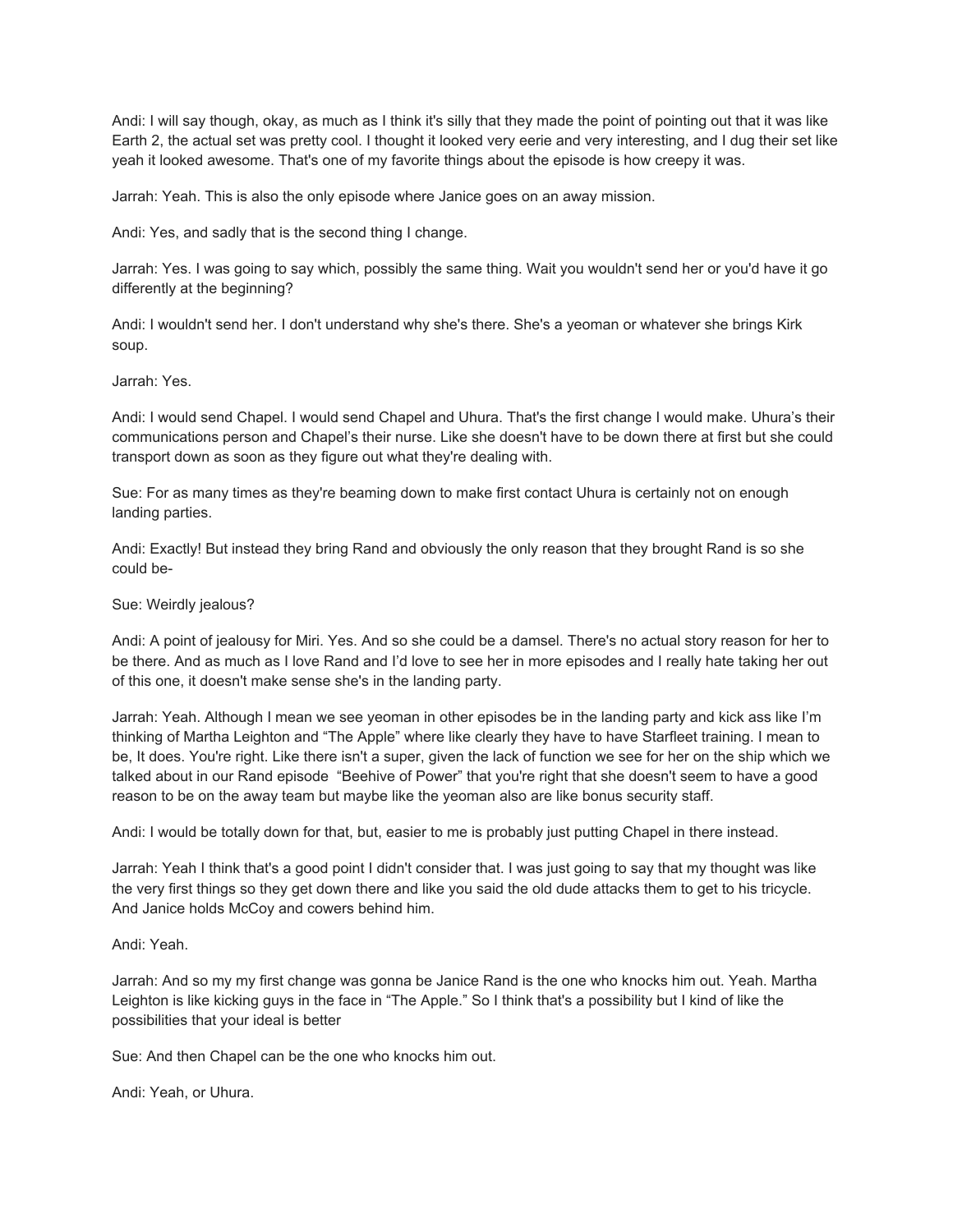Andi: I will say though, okay, as much as I think it's silly that they made the point of pointing out that it was like Earth 2, the actual set was pretty cool. I thought it looked very eerie and very interesting, and I dug their set like yeah it looked awesome. That's one of my favorite things about the episode is how creepy it was.

Jarrah: Yeah. This is also the only episode where Janice goes on an away mission.

Andi: Yes, and sadly that is the second thing I change.

Jarrah: Yes. I was going to say which, possibly the same thing. Wait you wouldn't send her or you'd have it go differently at the beginning?

Andi: I wouldn't send her. I don't understand why she's there. She's a yeoman or whatever she brings Kirk soup.

Jarrah: Yes.

Andi: I would send Chapel. I would send Chapel and Uhura. That's the first change I would make. Uhura's their communications person and Chapel's their nurse. Like she doesn't have to be down there at first but she could transport down as soon as they figure out what they're dealing with.

Sue: For as many times as they're beaming down to make first contact Uhura is certainly not on enough landing parties.

Andi: Exactly! But instead they bring Rand and obviously the only reason that they brought Rand is so she could be-

# Sue: Weirdly jealous?

Andi: A point of jealousy for Miri. Yes. And so she could be a damsel. There's no actual story reason for her to be there. And as much as I love Rand and I'd love to see her in more episodes and I really hate taking her out of this one, it doesn't make sense she's in the landing party.

Jarrah: Yeah. Although I mean we see yeoman in other episodes be in the landing party and kick ass like I'm thinking of Martha Leighton and "The Apple" where like clearly they have to have Starfleet training. I mean to be, It does. You're right. Like there isn't a super, given the lack of function we see for her on the ship which we talked about in our Rand episode "Beehive of Power" that you're right that she doesn't seem to have a good reason to be on the away team but maybe like the yeoman also are like bonus security staff.

Andi: I would be totally down for that, but, easier to me is probably just putting Chapel in there instead.

Jarrah: Yeah I think that's a good point I didn't consider that. I was just going to say that my thought was like the very first things so they get down there and like you said the old dude attacks them to get to his tricycle. And Janice holds McCoy and cowers behind him.

Andi: Yeah.

Jarrah: And so my my first change was gonna be Janice Rand is the one who knocks him out. Yeah. Martha Leighton is like kicking guys in the face in "The Apple." So I think that's a possibility but I kind of like the possibilities that your ideal is better

Sue: And then Chapel can be the one who knocks him out.

Andi: Yeah, or Uhura.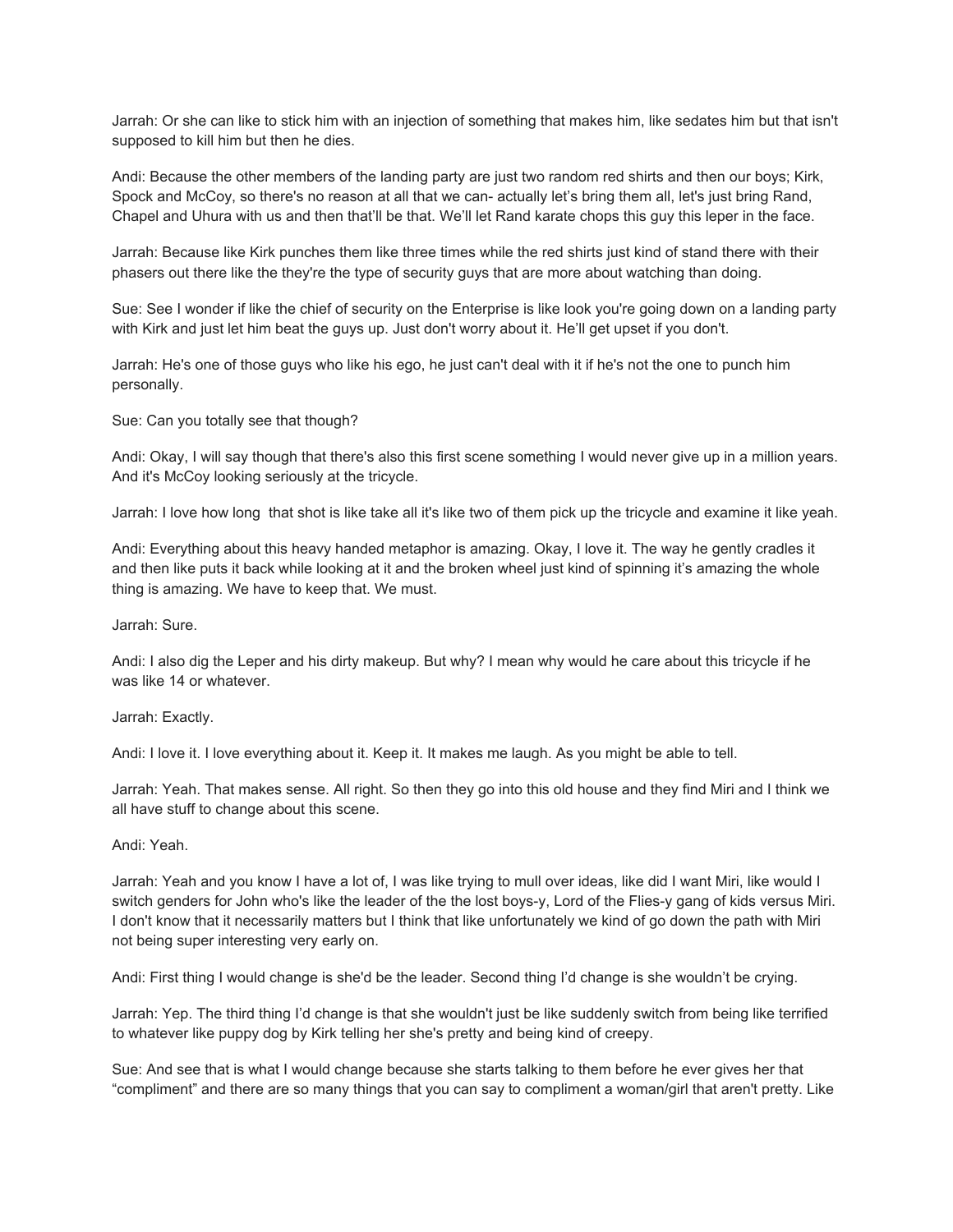Jarrah: Or she can like to stick him with an injection of something that makes him, like sedates him but that isn't supposed to kill him but then he dies.

Andi: Because the other members of the landing party are just two random red shirts and then our boys; Kirk, Spock and McCoy, so there's no reason at all that we can- actually let's bring them all, let's just bring Rand, Chapel and Uhura with us and then that'll be that. We'll let Rand karate chops this guy this leper in the face.

Jarrah: Because like Kirk punches them like three times while the red shirts just kind of stand there with their phasers out there like the they're the type of security guys that are more about watching than doing.

Sue: See I wonder if like the chief of security on the Enterprise is like look you're going down on a landing party with Kirk and just let him beat the guys up. Just don't worry about it. He'll get upset if you don't.

Jarrah: He's one of those guys who like his ego, he just can't deal with it if he's not the one to punch him personally.

Sue: Can you totally see that though?

Andi: Okay, I will say though that there's also this first scene something I would never give up in a million years. And it's McCoy looking seriously at the tricycle.

Jarrah: I love how long that shot is like take all it's like two of them pick up the tricycle and examine it like yeah.

Andi: Everything about this heavy handed metaphor is amazing. Okay, I love it. The way he gently cradles it and then like puts it back while looking at it and the broken wheel just kind of spinning it's amazing the whole thing is amazing. We have to keep that. We must.

Jarrah: Sure.

Andi: I also dig the Leper and his dirty makeup. But why? I mean why would he care about this tricycle if he was like 14 or whatever.

Jarrah: Exactly.

Andi: I love it. I love everything about it. Keep it. It makes me laugh. As you might be able to tell.

Jarrah: Yeah. That makes sense. All right. So then they go into this old house and they find Miri and I think we all have stuff to change about this scene.

## Andi: Yeah.

Jarrah: Yeah and you know I have a lot of, I was like trying to mull over ideas, like did I want Miri, like would I switch genders for John who's like the leader of the the lost boys-y, Lord of the Flies-y gang of kids versus Miri. I don't know that it necessarily matters but I think that like unfortunately we kind of go down the path with Miri not being super interesting very early on.

Andi: First thing I would change is she'd be the leader. Second thing I'd change is she wouldn't be crying.

Jarrah: Yep. The third thing I'd change is that she wouldn't just be like suddenly switch from being like terrified to whatever like puppy dog by Kirk telling her she's pretty and being kind of creepy.

Sue: And see that is what I would change because she starts talking to them before he ever gives her that "compliment" and there are so many things that you can say to compliment a woman/girl that aren't pretty. Like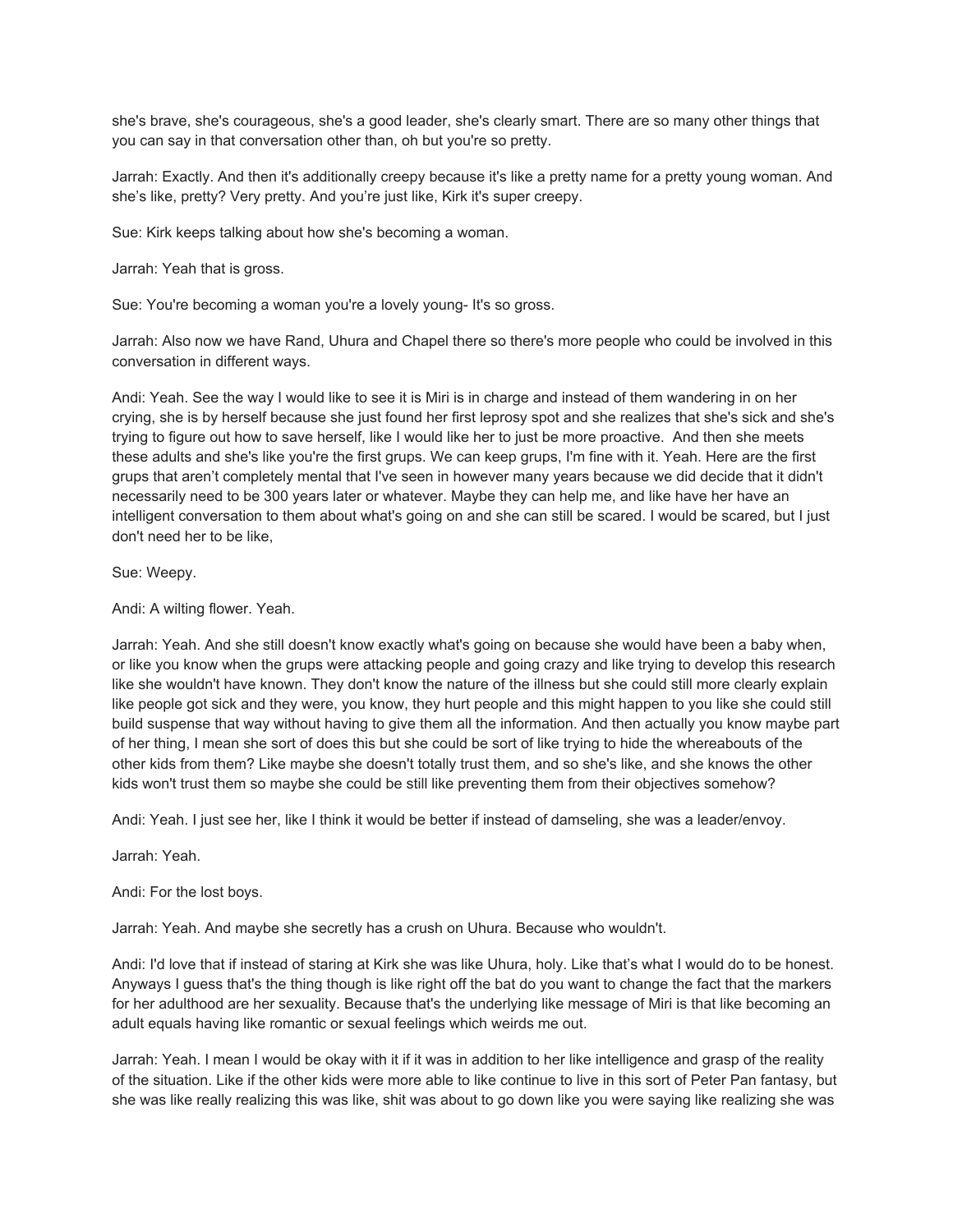she's brave, she's courageous, she's a good leader, she's clearly smart. There are so many other things that you can say in that conversation other than, oh but you're so pretty.

Jarrah: Exactly. And then it's additionally creepy because it's like a pretty name for a pretty young woman. And she's like, pretty? Very pretty. And you're just like, Kirk it's super creepy.

Sue: Kirk keeps talking about how she's becoming a woman.

Jarrah: Yeah that is gross.

Sue: You're becoming a woman you're a lovely young- It's so gross.

Jarrah: Also now we have Rand, Uhura and Chapel there so there's more people who could be involved in this conversation in different ways.

Andi: Yeah. See the way I would like to see it is Miri is in charge and instead of them wandering in on her crying, she is by herself because she just found her first leprosy spot and she realizes that she's sick and she's trying to figure out how to save herself, like I would like her to just be more proactive. And then she meets these adults and she's like you're the first grups. We can keep grups, I'm fine with it. Yeah. Here are the first grups that aren't completely mental that I've seen in however many years because we did decide that it didn't necessarily need to be 300 years later or whatever. Maybe they can help me, and like have her have an intelligent conversation to them about what's going on and she can still be scared. I would be scared, but I just don't need her to be like,

Sue: Weepy.

Andi: A wilting flower. Yeah.

Jarrah: Yeah. And she still doesn't know exactly what's going on because she would have been a baby when, or like you know when the grups were attacking people and going crazy and like trying to develop this research like she wouldn't have known. They don't know the nature of the illness but she could still more clearly explain like people got sick and they were, you know, they hurt people and this might happen to you like she could still build suspense that way without having to give them all the information. And then actually you know maybe part of her thing, I mean she sort of does this but she could be sort of like trying to hide the whereabouts of the other kids from them? Like maybe she doesn't totally trust them, and so she's like, and she knows the other kids won't trust them so maybe she could be still like preventing them from their objectives somehow?

Andi: Yeah. I just see her, like I think it would be better if instead of damseling, she was a leader/envoy.

Jarrah: Yeah.

Andi: For the lost boys.

Jarrah: Yeah. And maybe she secretly has a crush on Uhura. Because who wouldn't.

Andi: I'd love that if instead of staring at Kirk she was like Uhura, holy. Like that's what I would do to be honest. Anyways I guess that's the thing though is like right off the bat do you want to change the fact that the markers for her adulthood are her sexuality. Because that's the underlying like message of Miri is that like becoming an adult equals having like romantic or sexual feelings which weirds me out.

Jarrah: Yeah. I mean I would be okay with it if it was in addition to her like intelligence and grasp of the reality of the situation. Like if the other kids were more able to like continue to live in this sort of Peter Pan fantasy, but she was like really realizing this was like, shit was about to go down like you were saying like realizing she was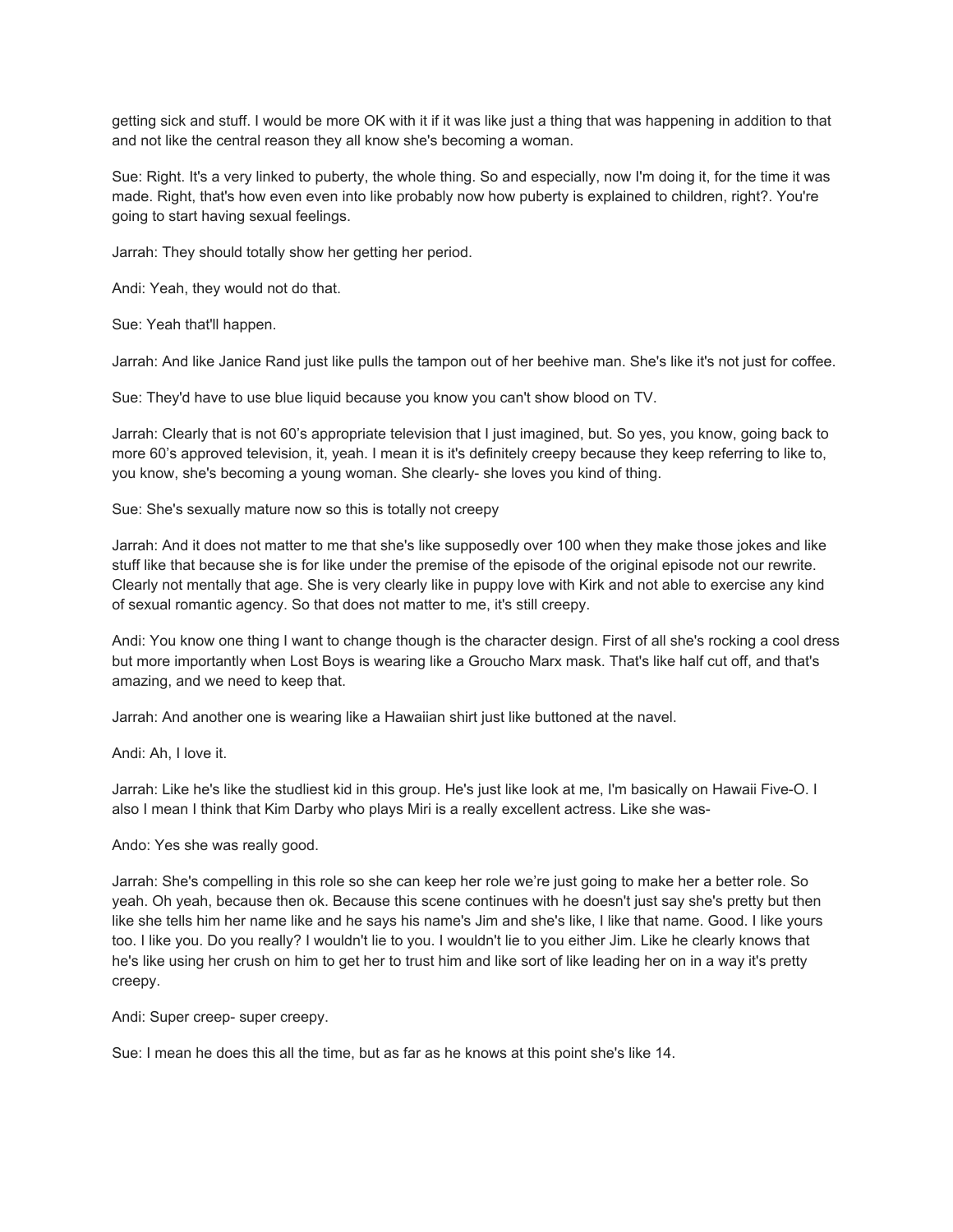getting sick and stuff. I would be more OK with it if it was like just a thing that was happening in addition to that and not like the central reason they all know she's becoming a woman.

Sue: Right. It's a very linked to puberty, the whole thing. So and especially, now I'm doing it, for the time it was made. Right, that's how even even into like probably now how puberty is explained to children, right?. You're going to start having sexual feelings.

Jarrah: They should totally show her getting her period.

Andi: Yeah, they would not do that.

Sue: Yeah that'll happen.

Jarrah: And like Janice Rand just like pulls the tampon out of her beehive man. She's like it's not just for coffee.

Sue: They'd have to use blue liquid because you know you can't show blood on TV.

Jarrah: Clearly that is not 60's appropriate television that I just imagined, but. So yes, you know, going back to more 60's approved television, it, yeah. I mean it is it's definitely creepy because they keep referring to like to, you know, she's becoming a young woman. She clearly- she loves you kind of thing.

Sue: She's sexually mature now so this is totally not creepy

Jarrah: And it does not matter to me that she's like supposedly over 100 when they make those jokes and like stuff like that because she is for like under the premise of the episode of the original episode not our rewrite. Clearly not mentally that age. She is very clearly like in puppy love with Kirk and not able to exercise any kind of sexual romantic agency. So that does not matter to me, it's still creepy.

Andi: You know one thing I want to change though is the character design. First of all she's rocking a cool dress but more importantly when Lost Boys is wearing like a Groucho Marx mask. That's like half cut off, and that's amazing, and we need to keep that.

Jarrah: And another one is wearing like a Hawaiian shirt just like buttoned at the navel.

Andi: Ah, I love it.

Jarrah: Like he's like the studliest kid in this group. He's just like look at me, I'm basically on Hawaii Five-O. I also I mean I think that Kim Darby who plays Miri is a really excellent actress. Like she was-

Ando: Yes she was really good.

Jarrah: She's compelling in this role so she can keep her role we're just going to make her a better role. So yeah. Oh yeah, because then ok. Because this scene continues with he doesn't just say she's pretty but then like she tells him her name like and he says his name's Jim and she's like, I like that name. Good. I like yours too. I like you. Do you really? I wouldn't lie to you. I wouldn't lie to you either Jim. Like he clearly knows that he's like using her crush on him to get her to trust him and like sort of like leading her on in a way it's pretty creepy.

Andi: Super creep- super creepy.

Sue: I mean he does this all the time, but as far as he knows at this point she's like 14.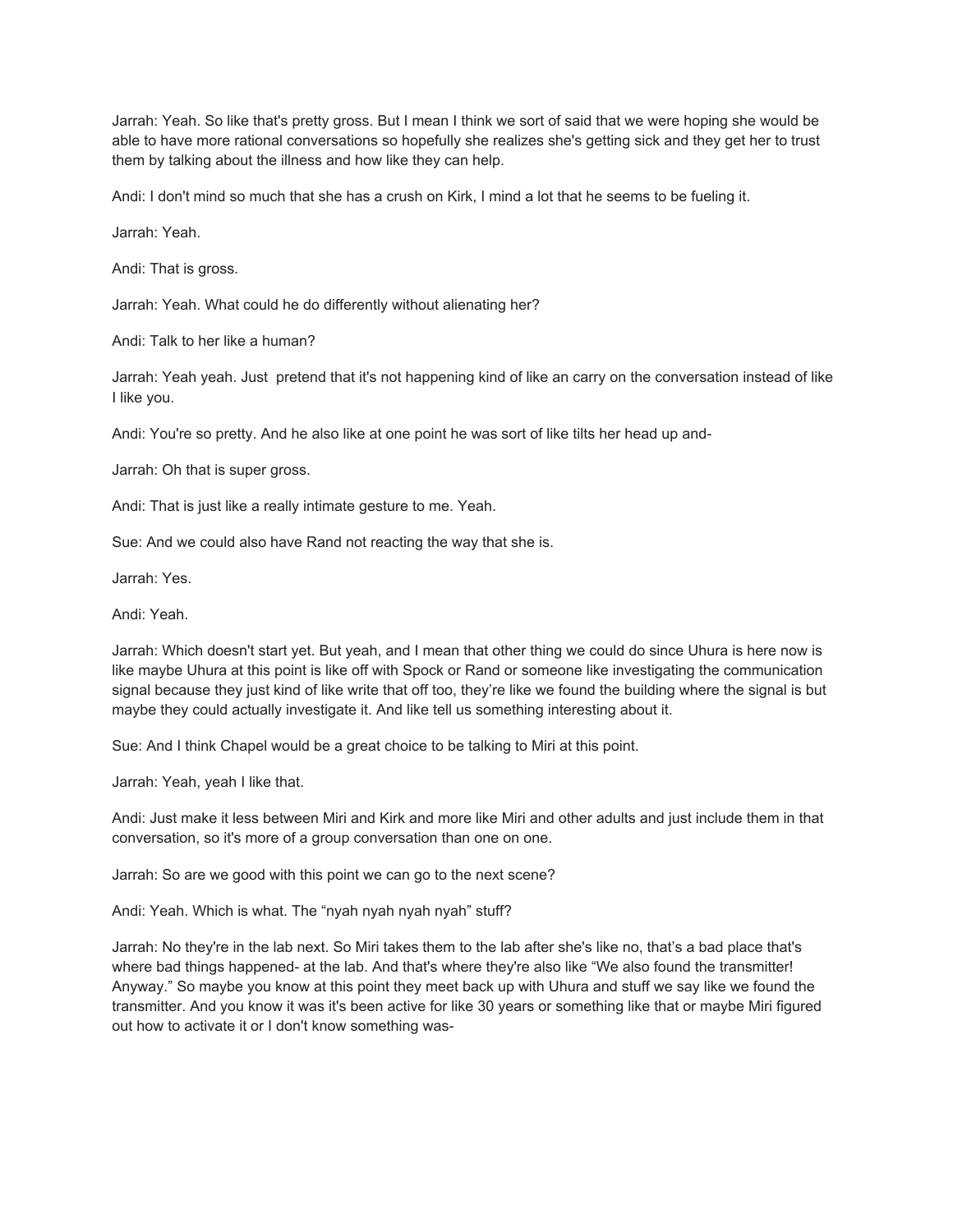Jarrah: Yeah. So like that's pretty gross. But I mean I think we sort of said that we were hoping she would be able to have more rational conversations so hopefully she realizes she's getting sick and they get her to trust them by talking about the illness and how like they can help.

Andi: I don't mind so much that she has a crush on Kirk, I mind a lot that he seems to be fueling it.

Jarrah: Yeah.

Andi: That is gross.

Jarrah: Yeah. What could he do differently without alienating her?

Andi: Talk to her like a human?

Jarrah: Yeah yeah. Just pretend that it's not happening kind of like an carry on the conversation instead of like I like you.

Andi: You're so pretty. And he also like at one point he was sort of like tilts her head up and-

Jarrah: Oh that is super gross.

Andi: That is just like a really intimate gesture to me. Yeah.

Sue: And we could also have Rand not reacting the way that she is.

Jarrah: Yes.

Andi: Yeah.

Jarrah: Which doesn't start yet. But yeah, and I mean that other thing we could do since Uhura is here now is like maybe Uhura at this point is like off with Spock or Rand or someone like investigating the communication signal because they just kind of like write that off too, they're like we found the building where the signal is but maybe they could actually investigate it. And like tell us something interesting about it.

Sue: And I think Chapel would be a great choice to be talking to Miri at this point.

Jarrah: Yeah, yeah I like that.

Andi: Just make it less between Miri and Kirk and more like Miri and other adults and just include them in that conversation, so it's more of a group conversation than one on one.

Jarrah: So are we good with this point we can go to the next scene?

Andi: Yeah. Which is what. The "nyah nyah nyah nyah" stuff?

Jarrah: No they're in the lab next. So Miri takes them to the lab after she's like no, that's a bad place that's where bad things happened- at the lab. And that's where they're also like "We also found the transmitter! Anyway." So maybe you know at this point they meet back up with Uhura and stuff we say like we found the transmitter. And you know it was it's been active for like 30 years or something like that or maybe Miri figured out how to activate it or I don't know something was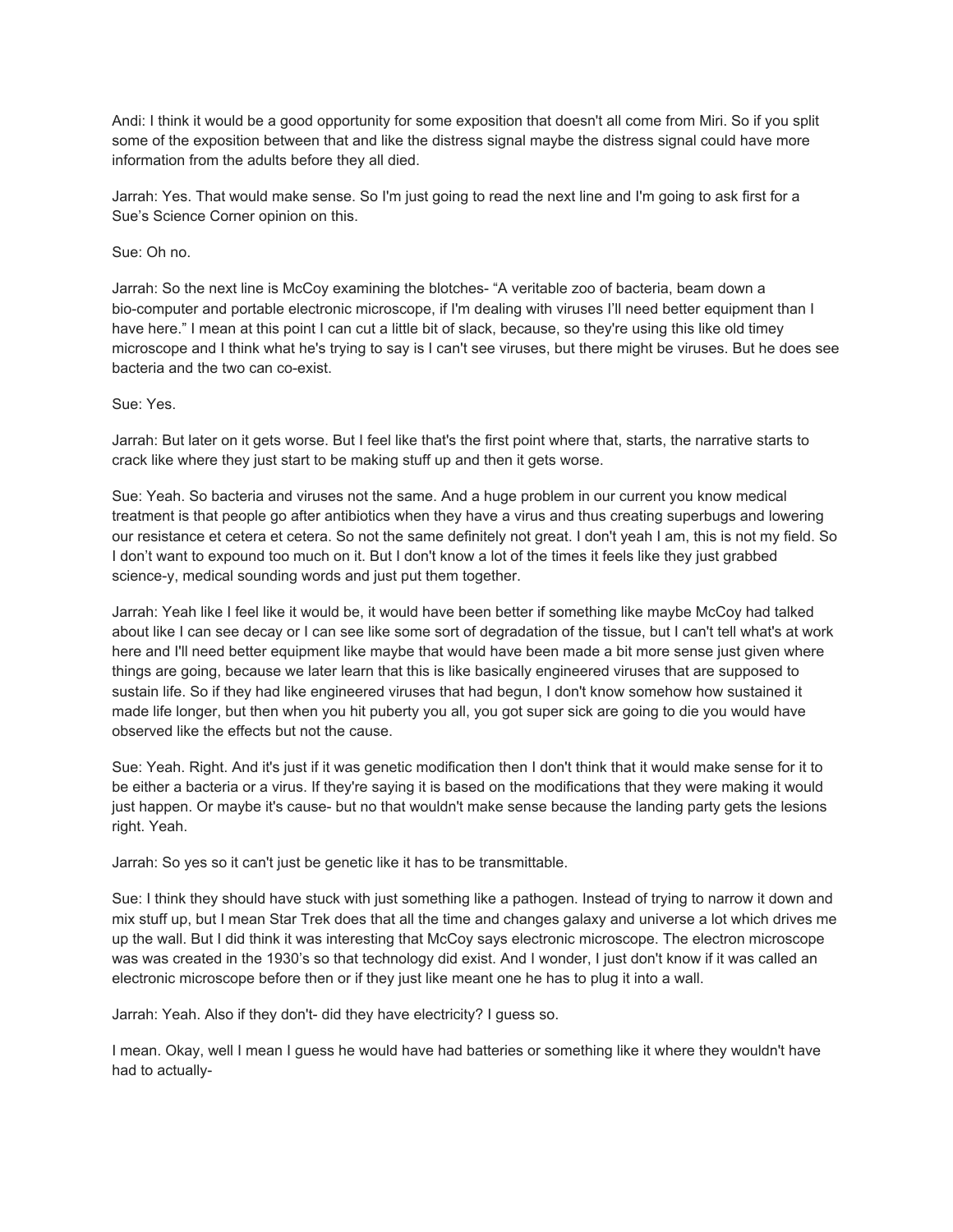Andi: I think it would be a good opportunity for some exposition that doesn't all come from Miri. So if you split some of the exposition between that and like the distress signal maybe the distress signal could have more information from the adults before they all died.

Jarrah: Yes. That would make sense. So I'm just going to read the next line and I'm going to ask first for a Sue's Science Corner opinion on this.

Sue: Oh no.

Jarrah: So the next line is McCoy examining the blotches- "A veritable zoo of bacteria, beam down a bio-computer and portable electronic microscope, if I'm dealing with viruses I'll need better equipment than I have here." I mean at this point I can cut a little bit of slack, because, so they're using this like old timey microscope and I think what he's trying to say is I can't see viruses, but there might be viruses. But he does see bacteria and the two can co-exist.

Sue: Yes.

Jarrah: But later on it gets worse. But I feel like that's the first point where that, starts, the narrative starts to crack like where they just start to be making stuff up and then it gets worse.

Sue: Yeah. So bacteria and viruses not the same. And a huge problem in our current you know medical treatment is that people go after antibiotics when they have a virus and thus creating superbugs and lowering our resistance et cetera et cetera. So not the same definitely not great. I don't yeah I am, this is not my field. So I don't want to expound too much on it. But I don't know a lot of the times it feels like they just grabbed science-y, medical sounding words and just put them together.

Jarrah: Yeah like I feel like it would be, it would have been better if something like maybe McCoy had talked about like I can see decay or I can see like some sort of degradation of the tissue, but I can't tell what's at work here and I'll need better equipment like maybe that would have been made a bit more sense just given where things are going, because we later learn that this is like basically engineered viruses that are supposed to sustain life. So if they had like engineered viruses that had begun, I don't know somehow how sustained it made life longer, but then when you hit puberty you all, you got super sick are going to die you would have observed like the effects but not the cause.

Sue: Yeah. Right. And it's just if it was genetic modification then I don't think that it would make sense for it to be either a bacteria or a virus. If they're saying it is based on the modifications that they were making it would just happen. Or maybe it's cause- but no that wouldn't make sense because the landing party gets the lesions right. Yeah.

Jarrah: So yes so it can't just be genetic like it has to be transmittable.

Sue: I think they should have stuck with just something like a pathogen. Instead of trying to narrow it down and mix stuff up, but I mean Star Trek does that all the time and changes galaxy and universe a lot which drives me up the wall. But I did think it was interesting that McCoy says electronic microscope. The electron microscope was was created in the 1930's so that technology did exist. And I wonder, I just don't know if it was called an electronic microscope before then or if they just like meant one he has to plug it into a wall.

Jarrah: Yeah. Also if they don't- did they have electricity? I guess so.

I mean. Okay, well I mean I guess he would have had batteries or something like it where they wouldn't have had to actually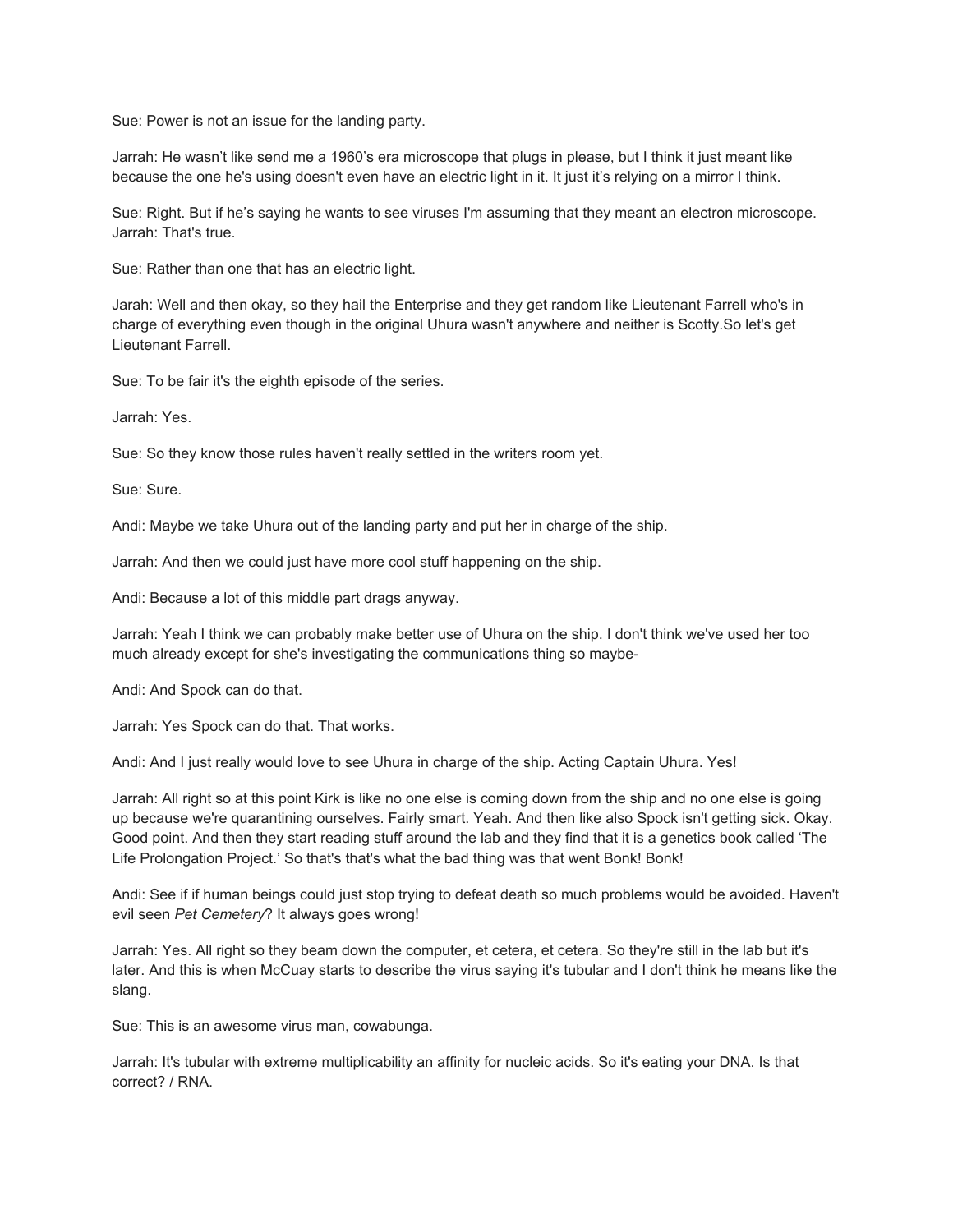Sue: Power is not an issue for the landing party.

Jarrah: He wasn't like send me a 1960's era microscope that plugs in please, but I think it just meant like because the one he's using doesn't even have an electric light in it. It just it's relying on a mirror I think.

Sue: Right. But if he's saying he wants to see viruses I'm assuming that they meant an electron microscope. Jarrah: That's true.

Sue: Rather than one that has an electric light.

Jarah: Well and then okay, so they hail the Enterprise and they get random like Lieutenant Farrell who's in charge of everything even though in the original Uhura wasn't anywhere and neither is Scotty.So let's get Lieutenant Farrell.

Sue: To be fair it's the eighth episode of the series.

Jarrah: Yes.

Sue: So they know those rules haven't really settled in the writers room yet.

Sue: Sure.

Andi: Maybe we take Uhura out of the landing party and put her in charge of the ship.

Jarrah: And then we could just have more cool stuff happening on the ship.

Andi: Because a lot of this middle part drags anyway.

Jarrah: Yeah I think we can probably make better use of Uhura on the ship. I don't think we've used her too much already except for she's investigating the communications thing so maybe-

Andi: And Spock can do that.

Jarrah: Yes Spock can do that. That works.

Andi: And I just really would love to see Uhura in charge of the ship. Acting Captain Uhura. Yes!

Jarrah: All right so at this point Kirk is like no one else is coming down from the ship and no one else is going up because we're quarantining ourselves. Fairly smart. Yeah. And then like also Spock isn't getting sick. Okay. Good point. And then they start reading stuff around the lab and they find that it is a genetics book called 'The Life Prolongation Project.' So that's that's what the bad thing was that went Bonk! Bonk!

Andi: See if if human beings could just stop trying to defeat death so much problems would be avoided. Haven't evil seen *Pet Cemetery*? It always goes wrong!

Jarrah: Yes. All right so they beam down the computer, et cetera, et cetera. So they're still in the lab but it's later. And this is when McCuay starts to describe the virus saying it's tubular and I don't think he means like the slang.

Sue: This is an awesome virus man, cowabunga.

Jarrah: It's tubular with extreme multiplicability an affinity for nucleic acids. So it's eating your DNA. Is that correct? / RNA.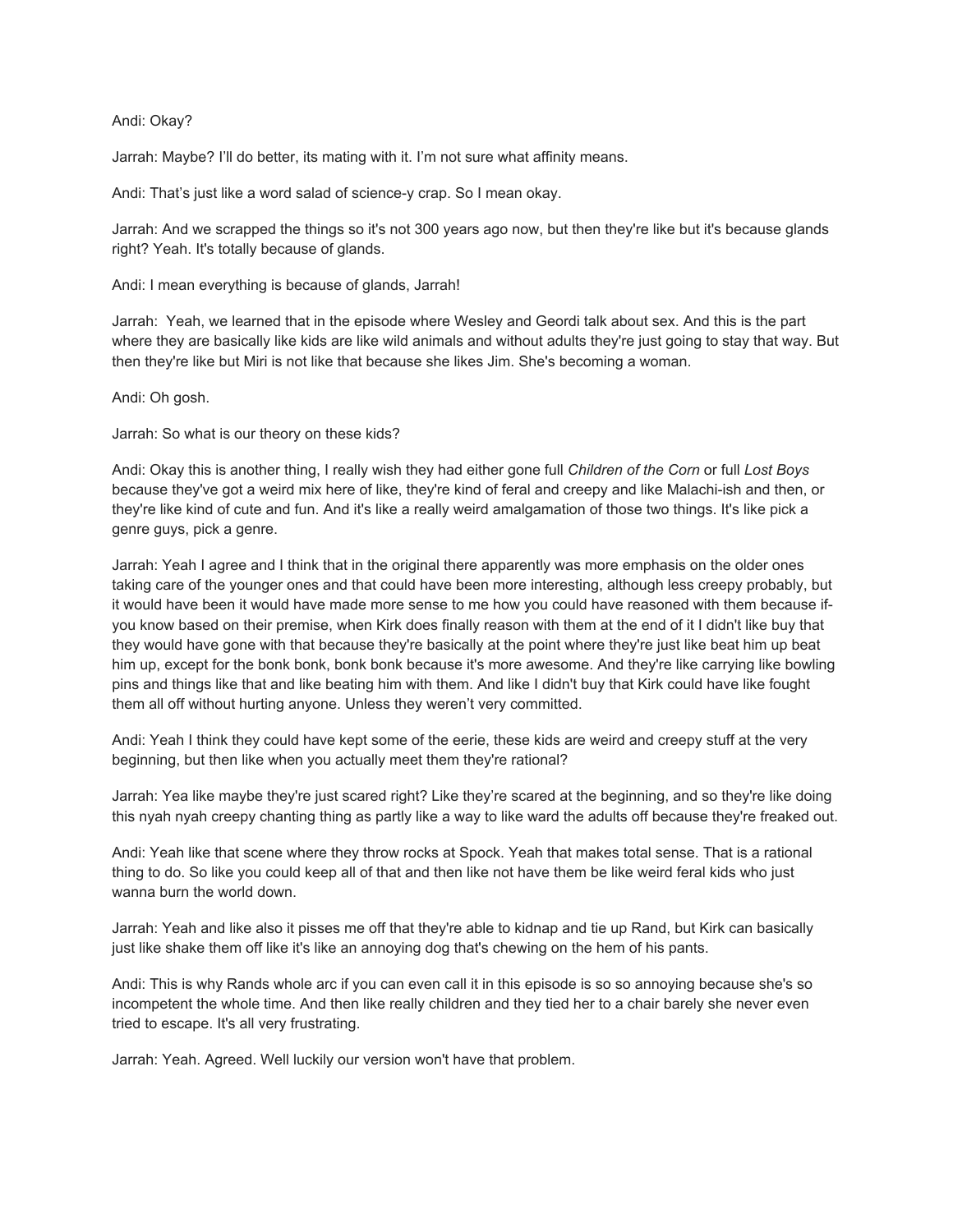# Andi: Okay?

Jarrah: Maybe? I'll do better, its mating with it. I'm not sure what affinity means.

Andi: That's just like a word salad of science-y crap. So I mean okay.

Jarrah: And we scrapped the things so it's not 300 years ago now, but then they're like but it's because glands right? Yeah. It's totally because of glands.

Andi: I mean everything is because of glands, Jarrah!

Jarrah: Yeah, we learned that in the episode where Wesley and Geordi talk about sex. And this is the part where they are basically like kids are like wild animals and without adults they're just going to stay that way. But then they're like but Miri is not like that because she likes Jim. She's becoming a woman.

Andi: Oh gosh.

Jarrah: So what is our theory on these kids?

Andi: Okay this is another thing, I really wish they had either gone full *Children of the Corn* or full *Lost Boys* because they've got a weird mix here of like, they're kind of feral and creepy and like Malachi-ish and then, or they're like kind of cute and fun. And it's like a really weird amalgamation of those two things. It's like pick a genre guys, pick a genre.

Jarrah: Yeah I agree and I think that in the original there apparently was more emphasis on the older ones taking care of the younger ones and that could have been more interesting, although less creepy probably, but it would have been it would have made more sense to me how you could have reasoned with them because ifyou know based on their premise, when Kirk does finally reason with them at the end of it I didn't like buy that they would have gone with that because they're basically at the point where they're just like beat him up beat him up, except for the bonk bonk, bonk bonk because it's more awesome. And they're like carrying like bowling pins and things like that and like beating him with them. And like I didn't buy that Kirk could have like fought them all off without hurting anyone. Unless they weren't very committed.

Andi: Yeah I think they could have kept some of the eerie, these kids are weird and creepy stuff at the very beginning, but then like when you actually meet them they're rational?

Jarrah: Yea like maybe they're just scared right? Like they're scared at the beginning, and so they're like doing this nyah nyah creepy chanting thing as partly like a way to like ward the adults off because they're freaked out.

Andi: Yeah like that scene where they throw rocks at Spock. Yeah that makes total sense. That is a rational thing to do. So like you could keep all of that and then like not have them be like weird feral kids who just wanna burn the world down.

Jarrah: Yeah and like also it pisses me off that they're able to kidnap and tie up Rand, but Kirk can basically just like shake them off like it's like an annoying dog that's chewing on the hem of his pants.

Andi: This is why Rands whole arc if you can even call it in this episode is so so annoying because she's so incompetent the whole time. And then like really children and they tied her to a chair barely she never even tried to escape. It's all very frustrating.

Jarrah: Yeah. Agreed. Well luckily our version won't have that problem.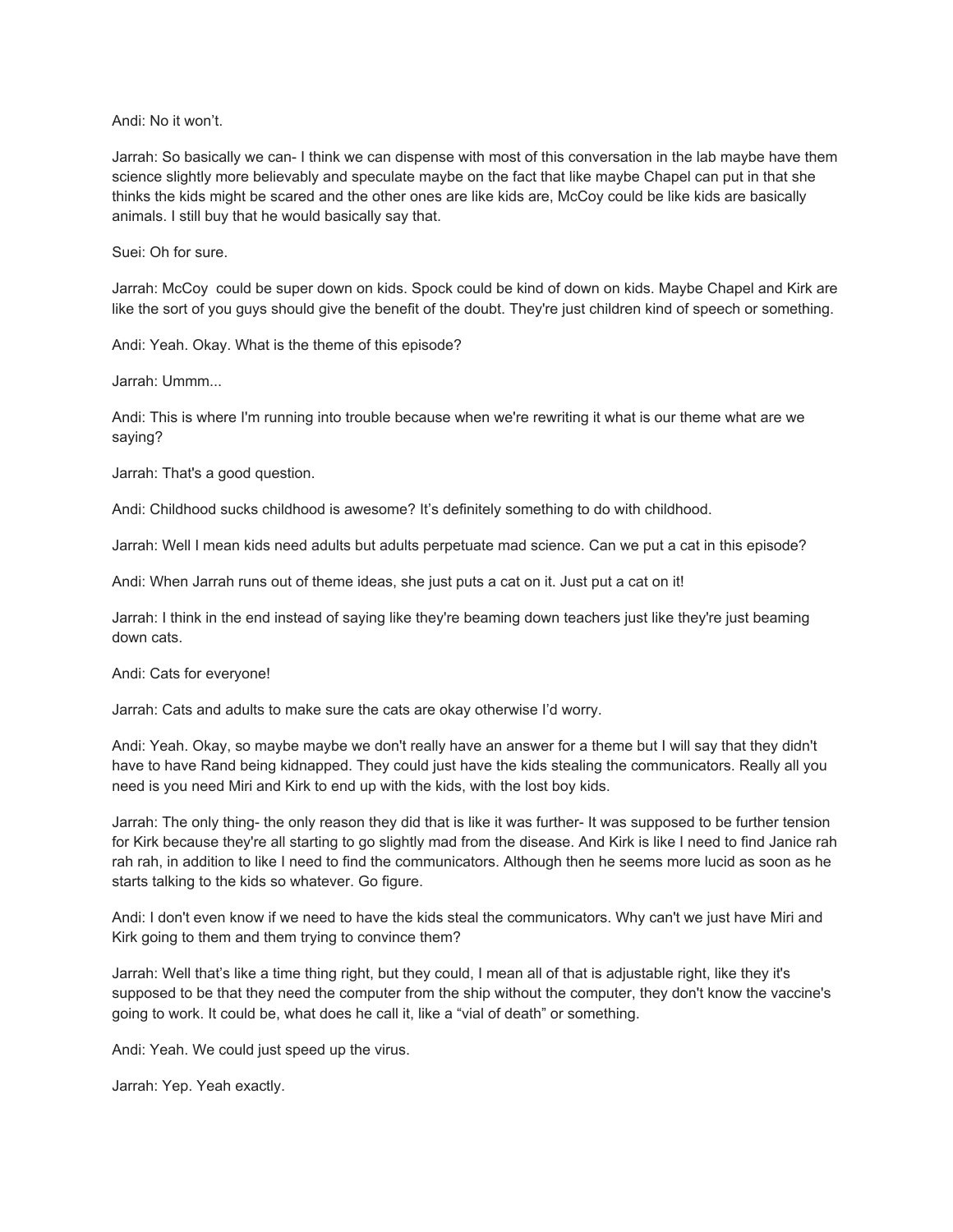Andi: No it won't.

Jarrah: So basically we can- I think we can dispense with most of this conversation in the lab maybe have them science slightly more believably and speculate maybe on the fact that like maybe Chapel can put in that she thinks the kids might be scared and the other ones are like kids are, McCoy could be like kids are basically animals. I still buy that he would basically say that.

Suei: Oh for sure.

Jarrah: McCoy could be super down on kids. Spock could be kind of down on kids. Maybe Chapel and Kirk are like the sort of you guys should give the benefit of the doubt. They're just children kind of speech or something.

Andi: Yeah. Okay. What is the theme of this episode?

Jarrah: Ummm...

Andi: This is where I'm running into trouble because when we're rewriting it what is our theme what are we saying?

Jarrah: That's a good question.

Andi: Childhood sucks childhood is awesome? It's definitely something to do with childhood.

Jarrah: Well I mean kids need adults but adults perpetuate mad science. Can we put a cat in this episode?

Andi: When Jarrah runs out of theme ideas, she just puts a cat on it. Just put a cat on it!

Jarrah: I think in the end instead of saying like they're beaming down teachers just like they're just beaming down cats.

Andi: Cats for everyone!

Jarrah: Cats and adults to make sure the cats are okay otherwise I'd worry.

Andi: Yeah. Okay, so maybe maybe we don't really have an answer for a theme but I will say that they didn't have to have Rand being kidnapped. They could just have the kids stealing the communicators. Really all you need is you need Miri and Kirk to end up with the kids, with the lost boy kids.

Jarrah: The only thing- the only reason they did that is like it was further- It was supposed to be further tension for Kirk because they're all starting to go slightly mad from the disease. And Kirk is like I need to find Janice rah rah rah, in addition to like I need to find the communicators. Although then he seems more lucid as soon as he starts talking to the kids so whatever. Go figure.

Andi: I don't even know if we need to have the kids steal the communicators. Why can't we just have Miri and Kirk going to them and them trying to convince them?

Jarrah: Well that's like a time thing right, but they could, I mean all of that is adjustable right, like they it's supposed to be that they need the computer from the ship without the computer, they don't know the vaccine's going to work. It could be, what does he call it, like a "vial of death" or something.

Andi: Yeah. We could just speed up the virus.

Jarrah: Yep. Yeah exactly.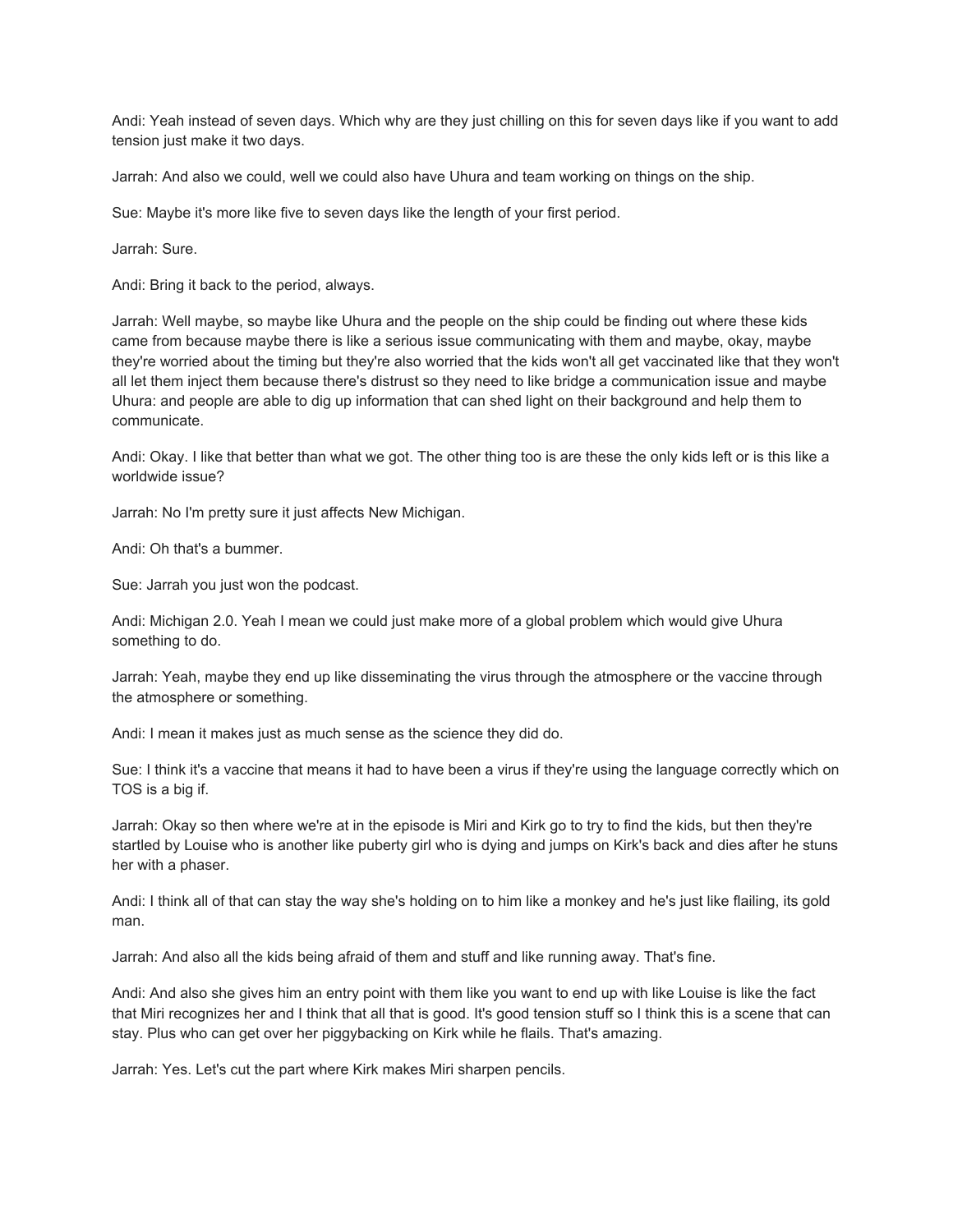Andi: Yeah instead of seven days. Which why are they just chilling on this for seven days like if you want to add tension just make it two days.

Jarrah: And also we could, well we could also have Uhura and team working on things on the ship.

Sue: Maybe it's more like five to seven days like the length of your first period.

Jarrah: Sure.

Andi: Bring it back to the period, always.

Jarrah: Well maybe, so maybe like Uhura and the people on the ship could be finding out where these kids came from because maybe there is like a serious issue communicating with them and maybe, okay, maybe they're worried about the timing but they're also worried that the kids won't all get vaccinated like that they won't all let them inject them because there's distrust so they need to like bridge a communication issue and maybe Uhura: and people are able to dig up information that can shed light on their background and help them to communicate.

Andi: Okay. I like that better than what we got. The other thing too is are these the only kids left or is this like a worldwide issue?

Jarrah: No I'm pretty sure it just affects New Michigan.

Andi: Oh that's a bummer.

Sue: Jarrah you just won the podcast.

Andi: Michigan 2.0. Yeah I mean we could just make more of a global problem which would give Uhura something to do.

Jarrah: Yeah, maybe they end up like disseminating the virus through the atmosphere or the vaccine through the atmosphere or something.

Andi: I mean it makes just as much sense as the science they did do.

Sue: I think it's a vaccine that means it had to have been a virus if they're using the language correctly which on TOS is a big if.

Jarrah: Okay so then where we're at in the episode is Miri and Kirk go to try to find the kids, but then they're startled by Louise who is another like puberty girl who is dying and jumps on Kirk's back and dies after he stuns her with a phaser.

Andi: I think all of that can stay the way she's holding on to him like a monkey and he's just like flailing, its gold man.

Jarrah: And also all the kids being afraid of them and stuff and like running away. That's fine.

Andi: And also she gives him an entry point with them like you want to end up with like Louise is like the fact that Miri recognizes her and I think that all that is good. It's good tension stuff so I think this is a scene that can stay. Plus who can get over her piggybacking on Kirk while he flails. That's amazing.

Jarrah: Yes. Let's cut the part where Kirk makes Miri sharpen pencils.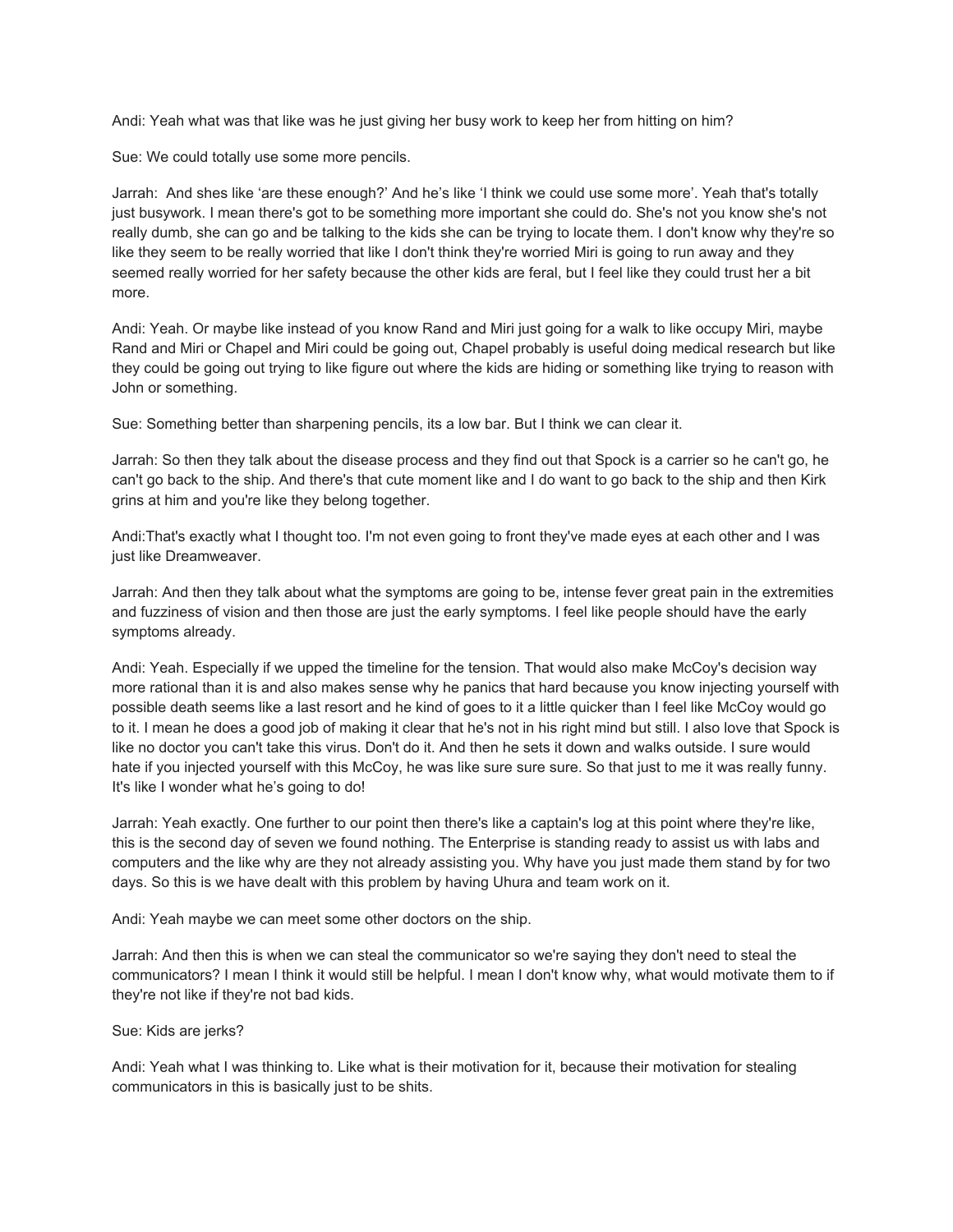Andi: Yeah what was that like was he just giving her busy work to keep her from hitting on him?

Sue: We could totally use some more pencils.

Jarrah: And shes like 'are these enough?' And he's like 'I think we could use some more'. Yeah that's totally just busywork. I mean there's got to be something more important she could do. She's not you know she's not really dumb, she can go and be talking to the kids she can be trying to locate them. I don't know why they're so like they seem to be really worried that like I don't think they're worried Miri is going to run away and they seemed really worried for her safety because the other kids are feral, but I feel like they could trust her a bit more.

Andi: Yeah. Or maybe like instead of you know Rand and Miri just going for a walk to like occupy Miri, maybe Rand and Miri or Chapel and Miri could be going out, Chapel probably is useful doing medical research but like they could be going out trying to like figure out where the kids are hiding or something like trying to reason with John or something.

Sue: Something better than sharpening pencils, its a low bar. But I think we can clear it.

Jarrah: So then they talk about the disease process and they find out that Spock is a carrier so he can't go, he can't go back to the ship. And there's that cute moment like and I do want to go back to the ship and then Kirk grins at him and you're like they belong together.

Andi:That's exactly what I thought too. I'm not even going to front they've made eyes at each other and I was just like Dreamweaver.

Jarrah: And then they talk about what the symptoms are going to be, intense fever great pain in the extremities and fuzziness of vision and then those are just the early symptoms. I feel like people should have the early symptoms already.

Andi: Yeah. Especially if we upped the timeline for the tension. That would also make McCoy's decision way more rational than it is and also makes sense why he panics that hard because you know injecting yourself with possible death seems like a last resort and he kind of goes to it a little quicker than I feel like McCoy would go to it. I mean he does a good job of making it clear that he's not in his right mind but still. I also love that Spock is like no doctor you can't take this virus. Don't do it. And then he sets it down and walks outside. I sure would hate if you injected yourself with this McCoy, he was like sure sure sure. So that just to me it was really funny. It's like I wonder what he's going to do!

Jarrah: Yeah exactly. One further to our point then there's like a captain's log at this point where they're like, this is the second day of seven we found nothing. The Enterprise is standing ready to assist us with labs and computers and the like why are they not already assisting you. Why have you just made them stand by for two days. So this is we have dealt with this problem by having Uhura and team work on it.

Andi: Yeah maybe we can meet some other doctors on the ship.

Jarrah: And then this is when we can steal the communicator so we're saying they don't need to steal the communicators? I mean I think it would still be helpful. I mean I don't know why, what would motivate them to if they're not like if they're not bad kids.

### Sue: Kids are jerks?

Andi: Yeah what I was thinking to. Like what is their motivation for it, because their motivation for stealing communicators in this is basically just to be shits.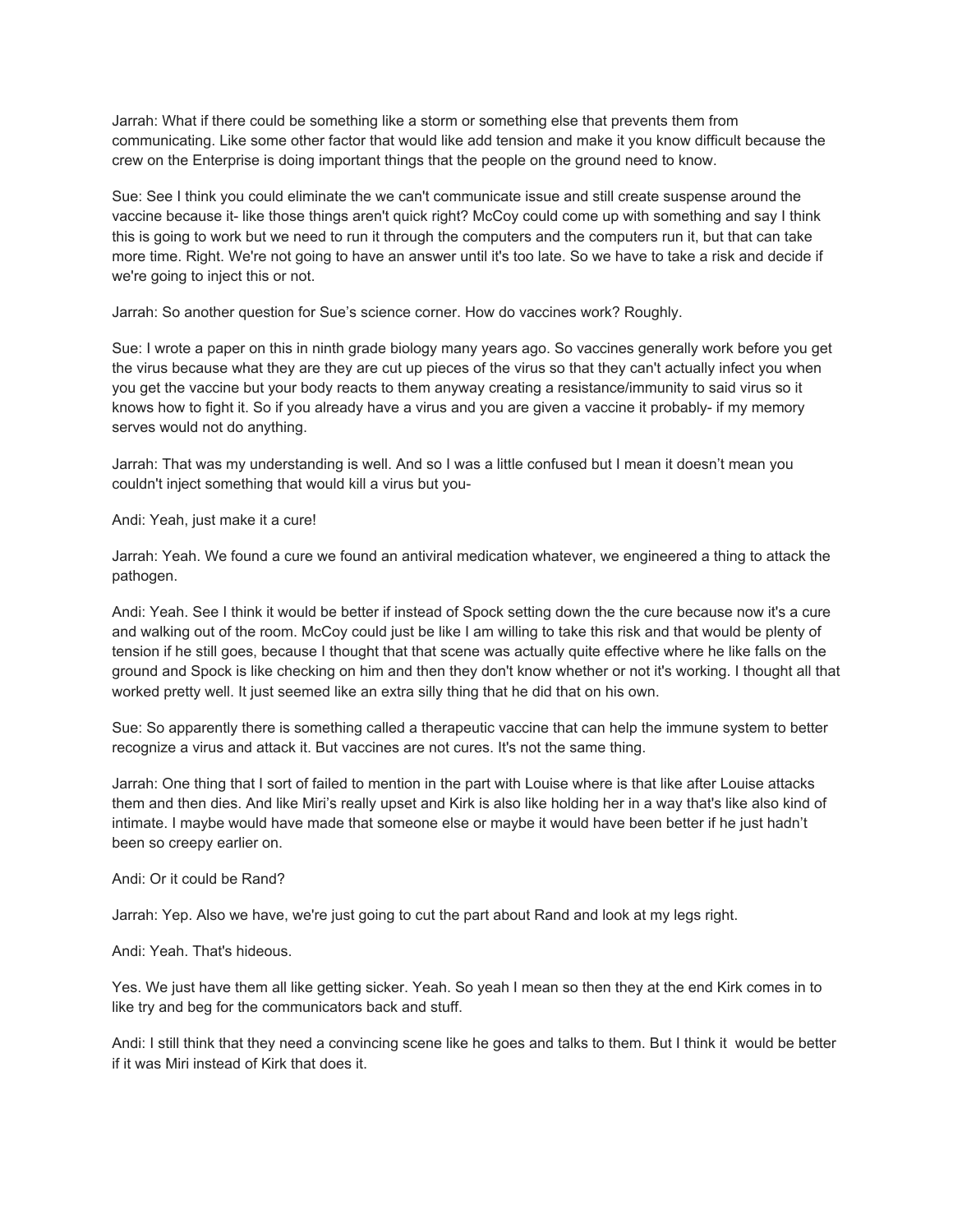Jarrah: What if there could be something like a storm or something else that prevents them from communicating. Like some other factor that would like add tension and make it you know difficult because the crew on the Enterprise is doing important things that the people on the ground need to know.

Sue: See I think you could eliminate the we can't communicate issue and still create suspense around the vaccine because it- like those things aren't quick right? McCoy could come up with something and say I think this is going to work but we need to run it through the computers and the computers run it, but that can take more time. Right. We're not going to have an answer until it's too late. So we have to take a risk and decide if we're going to inject this or not.

Jarrah: So another question for Sue's science corner. How do vaccines work? Roughly.

Sue: I wrote a paper on this in ninth grade biology many years ago. So vaccines generally work before you get the virus because what they are they are cut up pieces of the virus so that they can't actually infect you when you get the vaccine but your body reacts to them anyway creating a resistance/immunity to said virus so it knows how to fight it. So if you already have a virus and you are given a vaccine it probably- if my memory serves would not do anything.

Jarrah: That was my understanding is well. And so I was a little confused but I mean it doesn't mean you couldn't inject something that would kill a virus but you-

Andi: Yeah, just make it a cure!

Jarrah: Yeah. We found a cure we found an antiviral medication whatever, we engineered a thing to attack the pathogen.

Andi: Yeah. See I think it would be better if instead of Spock setting down the the cure because now it's a cure and walking out of the room. McCoy could just be like I am willing to take this risk and that would be plenty of tension if he still goes, because I thought that that scene was actually quite effective where he like falls on the ground and Spock is like checking on him and then they don't know whether or not it's working. I thought all that worked pretty well. It just seemed like an extra silly thing that he did that on his own.

Sue: So apparently there is something called a therapeutic vaccine that can help the immune system to better recognize a virus and attack it. But vaccines are not cures. It's not the same thing.

Jarrah: One thing that I sort of failed to mention in the part with Louise where is that like after Louise attacks them and then dies. And like Miri's really upset and Kirk is also like holding her in a way that's like also kind of intimate. I maybe would have made that someone else or maybe it would have been better if he just hadn't been so creepy earlier on.

Andi: Or it could be Rand?

Jarrah: Yep. Also we have, we're just going to cut the part about Rand and look at my legs right.

Andi: Yeah. That's hideous.

Yes. We just have them all like getting sicker. Yeah. So yeah I mean so then they at the end Kirk comes in to like try and beg for the communicators back and stuff.

Andi: I still think that they need a convincing scene like he goes and talks to them. But I think it would be better if it was Miri instead of Kirk that does it.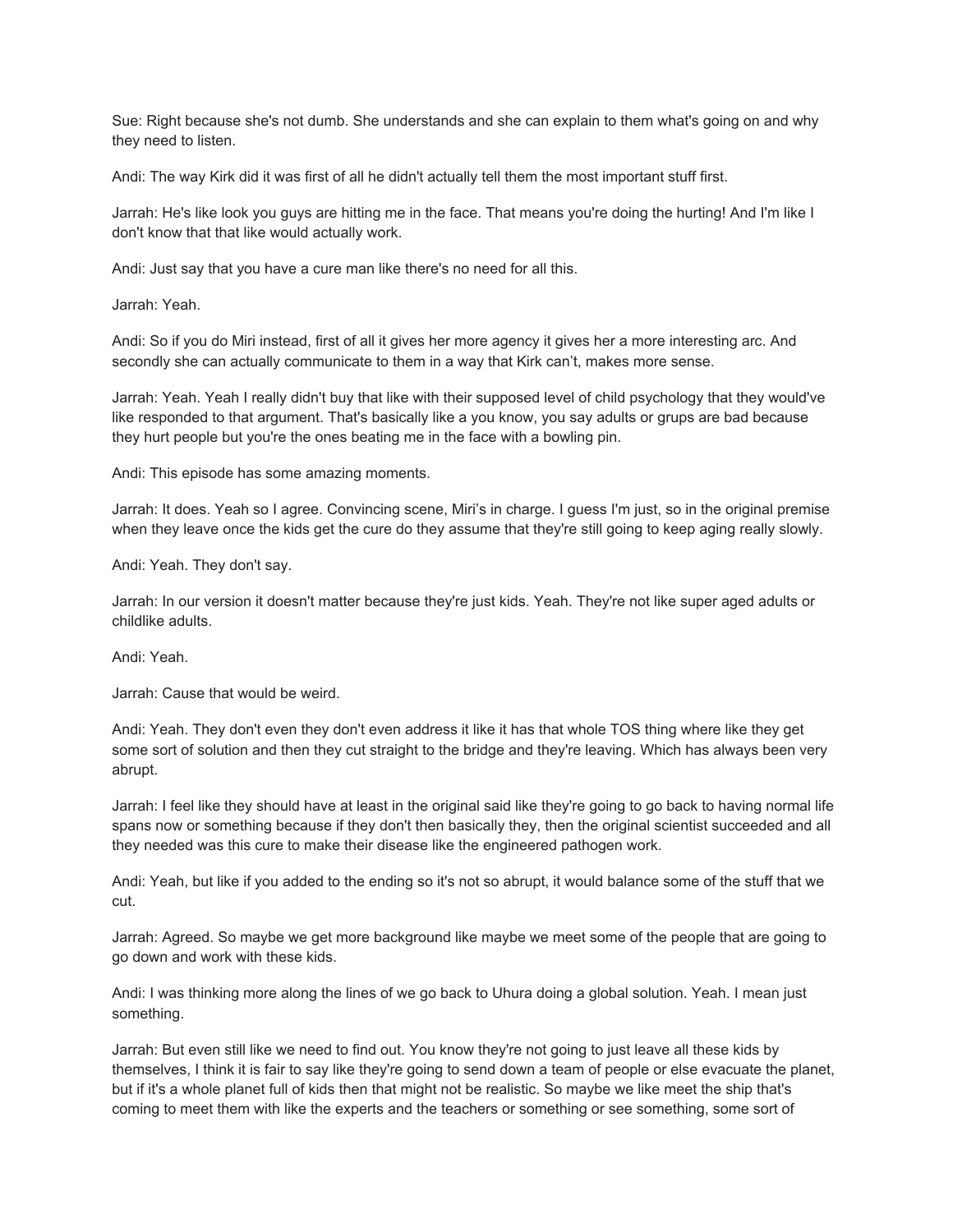Sue: Right because she's not dumb. She understands and she can explain to them what's going on and why they need to listen.

Andi: The way Kirk did it was first of all he didn't actually tell them the most important stuff first.

Jarrah: He's like look you guys are hitting me in the face. That means you're doing the hurting! And I'm like I don't know that that like would actually work.

Andi: Just say that you have a cure man like there's no need for all this.

Jarrah: Yeah.

Andi: So if you do Miri instead, first of all it gives her more agency it gives her a more interesting arc. And secondly she can actually communicate to them in a way that Kirk can't, makes more sense.

Jarrah: Yeah. Yeah I really didn't buy that like with their supposed level of child psychology that they would've like responded to that argument. That's basically like a you know, you say adults or grups are bad because they hurt people but you're the ones beating me in the face with a bowling pin.

Andi: This episode has some amazing moments.

Jarrah: It does. Yeah so I agree. Convincing scene, Miri's in charge. I guess I'm just, so in the original premise when they leave once the kids get the cure do they assume that they're still going to keep aging really slowly.

Andi: Yeah. They don't say.

Jarrah: In our version it doesn't matter because they're just kids. Yeah. They're not like super aged adults or childlike adults.

Andi: Yeah.

Jarrah: Cause that would be weird.

Andi: Yeah. They don't even they don't even address it like it has that whole TOS thing where like they get some sort of solution and then they cut straight to the bridge and they're leaving. Which has always been very abrupt.

Jarrah: I feel like they should have at least in the original said like they're going to go back to having normal life spans now or something because if they don't then basically they, then the original scientist succeeded and all they needed was this cure to make their disease like the engineered pathogen work.

Andi: Yeah, but like if you added to the ending so it's not so abrupt, it would balance some of the stuff that we cut.

Jarrah: Agreed. So maybe we get more background like maybe we meet some of the people that are going to go down and work with these kids.

Andi: I was thinking more along the lines of we go back to Uhura doing a global solution. Yeah. I mean just something.

Jarrah: But even still like we need to find out. You know they're not going to just leave all these kids by themselves, I think it is fair to say like they're going to send down a team of people or else evacuate the planet, but if it's a whole planet full of kids then that might not be realistic. So maybe we like meet the ship that's coming to meet them with like the experts and the teachers or something or see something, some sort of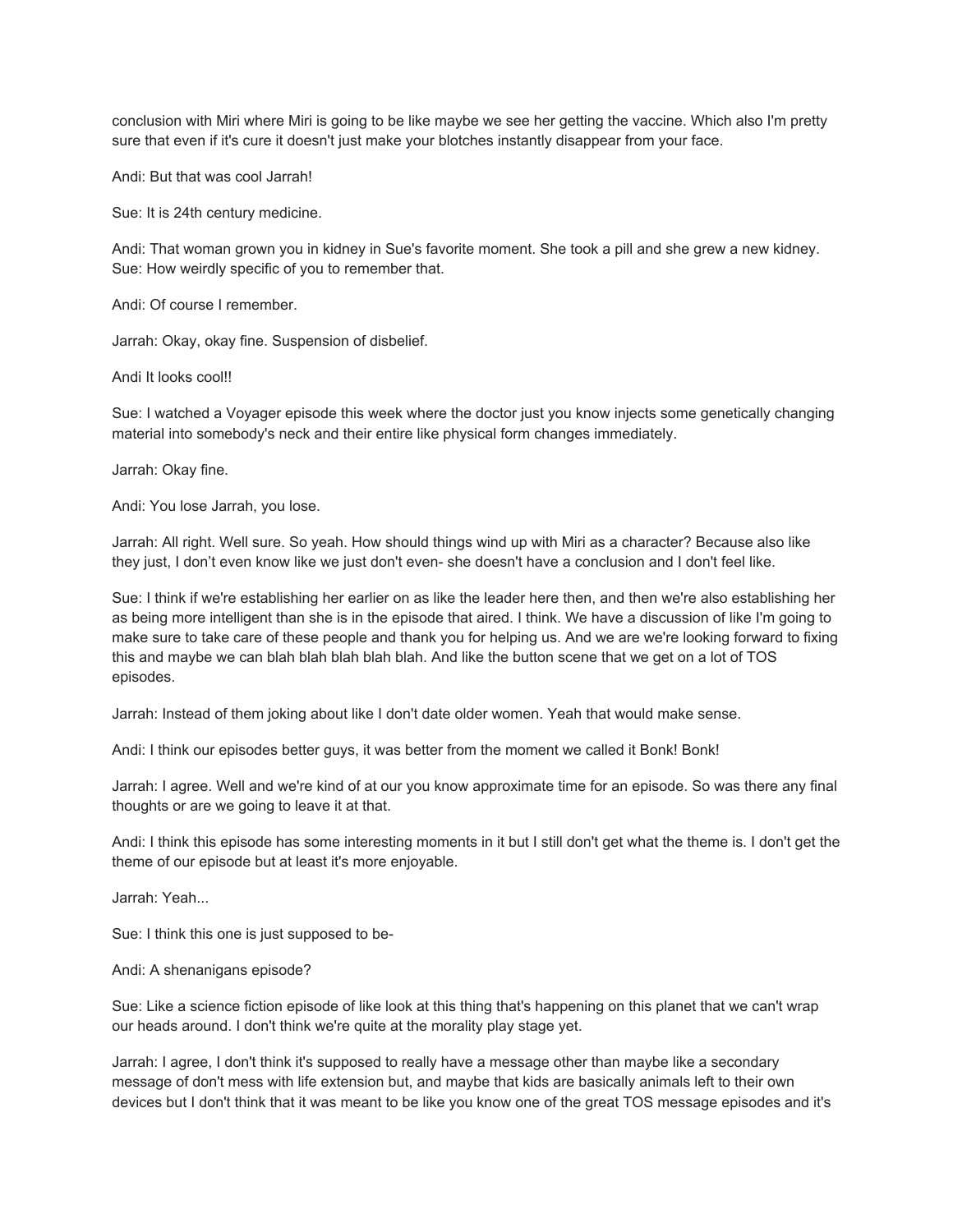conclusion with Miri where Miri is going to be like maybe we see her getting the vaccine. Which also I'm pretty sure that even if it's cure it doesn't just make your blotches instantly disappear from your face.

Andi: But that was cool Jarrah!

Sue: It is 24th century medicine.

Andi: That woman grown you in kidney in Sue's favorite moment. She took a pill and she grew a new kidney. Sue: How weirdly specific of you to remember that.

Andi: Of course I remember.

Jarrah: Okay, okay fine. Suspension of disbelief.

Andi It looks cool!!

Sue: I watched a Voyager episode this week where the doctor just you know injects some genetically changing material into somebody's neck and their entire like physical form changes immediately.

Jarrah: Okay fine.

Andi: You lose Jarrah, you lose.

Jarrah: All right. Well sure. So yeah. How should things wind up with Miri as a character? Because also like they just, I don't even know like we just don't even- she doesn't have a conclusion and I don't feel like.

Sue: I think if we're establishing her earlier on as like the leader here then, and then we're also establishing her as being more intelligent than she is in the episode that aired. I think. We have a discussion of like I'm going to make sure to take care of these people and thank you for helping us. And we are we're looking forward to fixing this and maybe we can blah blah blah blah blah. And like the button scene that we get on a lot of TOS episodes.

Jarrah: Instead of them joking about like I don't date older women. Yeah that would make sense.

Andi: I think our episodes better guys, it was better from the moment we called it Bonk! Bonk!

Jarrah: I agree. Well and we're kind of at our you know approximate time for an episode. So was there any final thoughts or are we going to leave it at that.

Andi: I think this episode has some interesting moments in it but I still don't get what the theme is. I don't get the theme of our episode but at least it's more enjoyable.

Jarrah: Yeah...

Sue: I think this one is just supposed to be-

Andi: A shenanigans episode?

Sue: Like a science fiction episode of like look at this thing that's happening on this planet that we can't wrap our heads around. I don't think we're quite at the morality play stage yet.

Jarrah: I agree, I don't think it's supposed to really have a message other than maybe like a secondary message of don't mess with life extension but, and maybe that kids are basically animals left to their own devices but I don't think that it was meant to be like you know one of the great TOS message episodes and it's